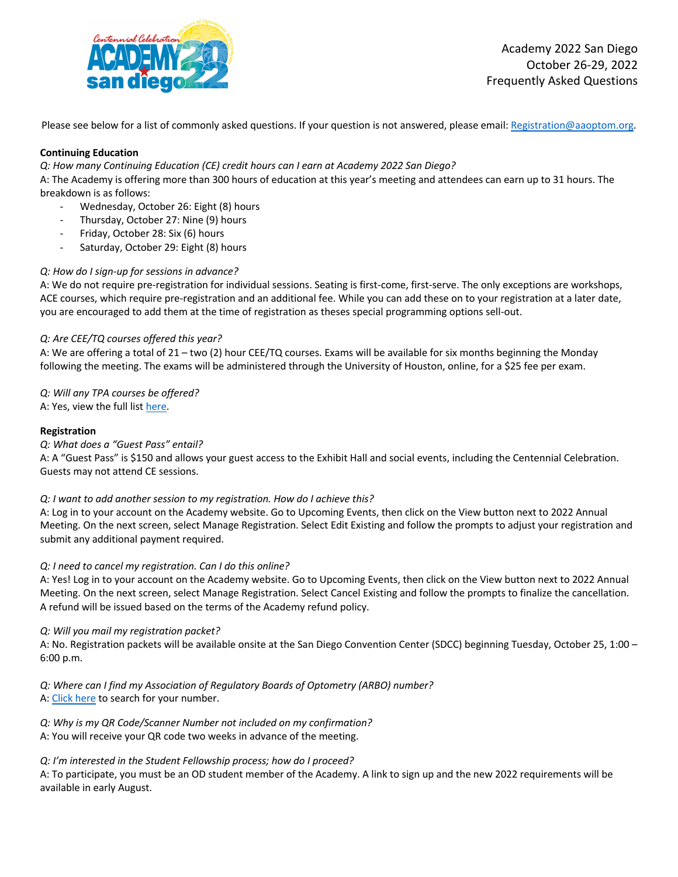

Please see below for a list of commonly asked questions. If your question is not answered, please email: Registration@aaoptom.org.

# **Continuing Education**

*Q: How many Continuing Education (CE) credit hours can I earn at Academy 2022 San Diego?* 

A: The Academy is offering more than 300 hours of education at this year's meeting and attendees can earn up to 31 hours. The breakdown is as follows:

- Wednesday, October 26: Eight (8) hours
- Thursday, October 27: Nine (9) hours
- Friday, October 28: Six (6) hours
- Saturday, October 29: Eight (8) hours

# *Q: How do I sign-up for sessions in advance?*

A: We do not require pre-registration for individual sessions. Seating is first-come, first-serve. The only exceptions are workshops, ACE courses, which require pre-registration and an additional fee. While you can add these on to your registration at a later date, you are encouraged to add them at the time of registration as theses special programming options sell-out.

# *Q: Are CEE/TQ courses offered this year?*

A: We are offering a total of 21 – two (2) hour CEE/TQ courses. Exams will be available for six months beginning the Monday following the meeting. The exams will be administered through the University of Houston, online, for a \$25 fee per exam.

*Q: Will any TPA courses be offered?* 

A: Yes, view the full list here.

### **Registration**

# *Q: What does a "Guest Pass" entail?*

A: A "Guest Pass" is \$150 and allows your guest access to the Exhibit Hall and social events, including the Centennial Celebration. Guests may not attend CE sessions.

# *Q: I want to add another session to my registration. How do I achieve this?*

A: Log in to your account on the Academy website. Go to Upcoming Events, then click on the View button next to 2022 Annual Meeting. On the next screen, select Manage Registration. Select Edit Existing and follow the prompts to adjust your registration and submit any additional payment required.

# *Q: I need to cancel my registration. Can I do this online?*

A: Yes! Log in to your account on the Academy website. Go to Upcoming Events, then click on the View button next to 2022 Annual Meeting. On the next screen, select Manage Registration. Select Cancel Existing and follow the prompts to finalize the cancellation. A refund will be issued based on the terms of the Academy refund policy.

#### *Q: Will you mail my registration packet?*

A: No. Registration packets will be available onsite at the San Diego Convention Center (SDCC) beginning Tuesday, October 25, 1:00 – 6:00 p.m.

*Q: Where can I find my Association of Regulatory Boards of Optometry (ARBO) number?*  A: Click here to search for your number.

*Q: Why is my QR Code/Scanner Number not included on my confirmation?*  A: You will receive your QR code two weeks in advance of the meeting.

#### *Q: I'm interested in the Student Fellowship process; how do I proceed?*

A: To participate, you must be an OD student member of the Academy. A link to sign up and the new 2022 requirements will be available in early August.